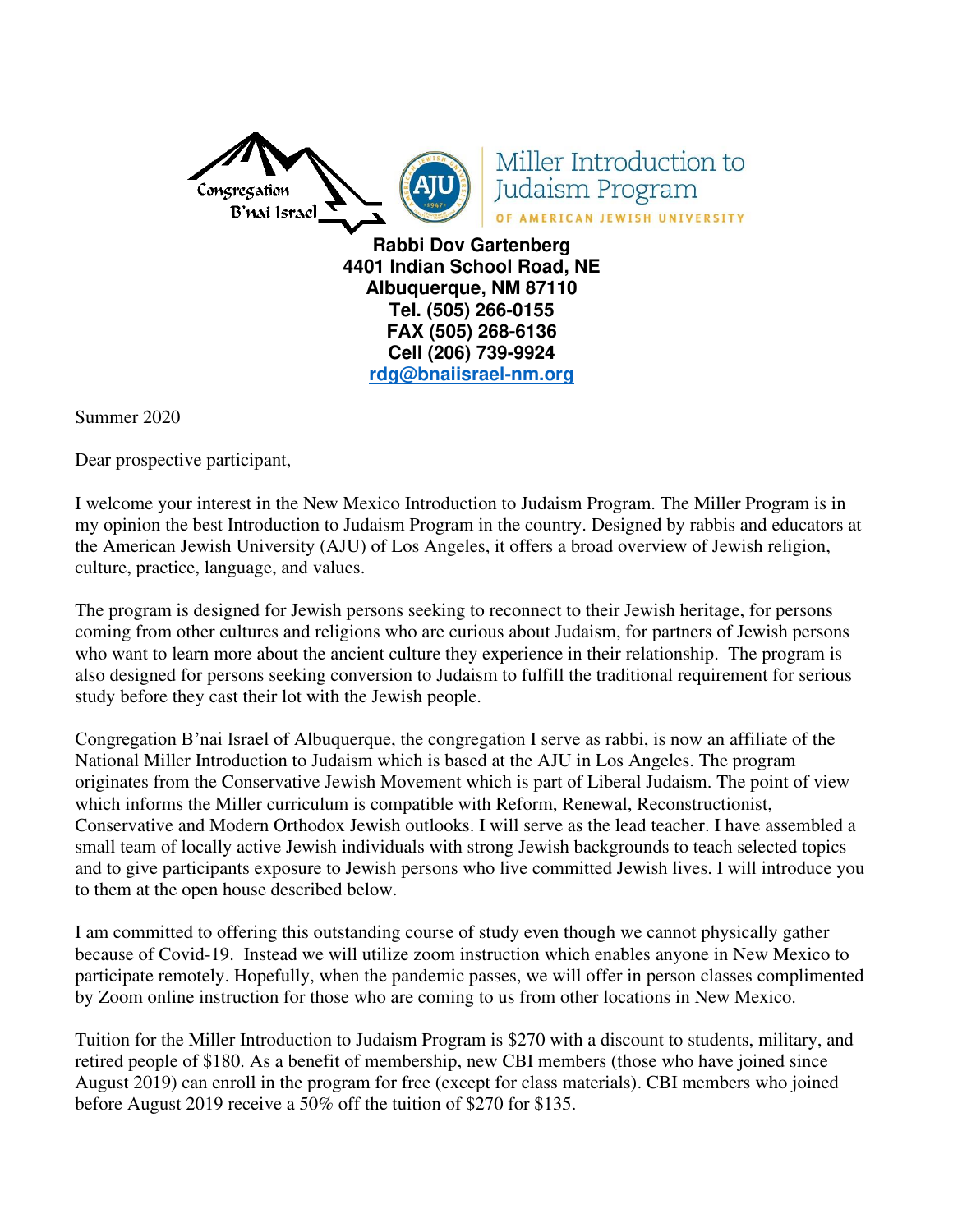

Miller Introduction to Judaism Program OF AMERICAN JEWISH UNIVERSITY

**Rabbi Dov Gartenberg 4401 Indian School Road, NE Albuquerque, NM 87110 Tel. (505) 266-0155 FAX (505) 268-6136 Cell (206) 739-9924 [rdg@bnaiisrael-nm.org](mailto:rdg@bnaiisrael-nm.org)**

Summer 2020

Dear prospective participant,

I welcome your interest in the New Mexico Introduction to Judaism Program. The Miller Program is in my opinion the best Introduction to Judaism Program in the country. Designed by rabbis and educators at the American Jewish University (AJU) of Los Angeles, it offers a broad overview of Jewish religion, culture, practice, language, and values.

The program is designed for Jewish persons seeking to reconnect to their Jewish heritage, for persons coming from other cultures and religions who are curious about Judaism, for partners of Jewish persons who want to learn more about the ancient culture they experience in their relationship. The program is also designed for persons seeking conversion to Judaism to fulfill the traditional requirement for serious study before they cast their lot with the Jewish people.

Congregation B'nai Israel of Albuquerque, the congregation I serve as rabbi, is now an affiliate of the National Miller Introduction to Judaism which is based at the AJU in Los Angeles. The program originates from the Conservative Jewish Movement which is part of Liberal Judaism. The point of view which informs the Miller curriculum is compatible with Reform, Renewal, Reconstructionist, Conservative and Modern Orthodox Jewish outlooks. I will serve as the lead teacher. I have assembled a small team of locally active Jewish individuals with strong Jewish backgrounds to teach selected topics and to give participants exposure to Jewish persons who live committed Jewish lives. I will introduce you to them at the open house described below.

I am committed to offering this outstanding course of study even though we cannot physically gather because of Covid-19. Instead we will utilize zoom instruction which enables anyone in New Mexico to participate remotely. Hopefully, when the pandemic passes, we will offer in person classes complimented by Zoom online instruction for those who are coming to us from other locations in New Mexico.

Tuition for the Miller Introduction to Judaism Program is \$270 with a discount to students, military, and retired people of \$180. As a benefit of membership, new CBI members (those who have joined since August 2019) can enroll in the program for free (except for class materials). CBI members who joined before August 2019 receive a 50% off the tuition of \$270 for \$135.